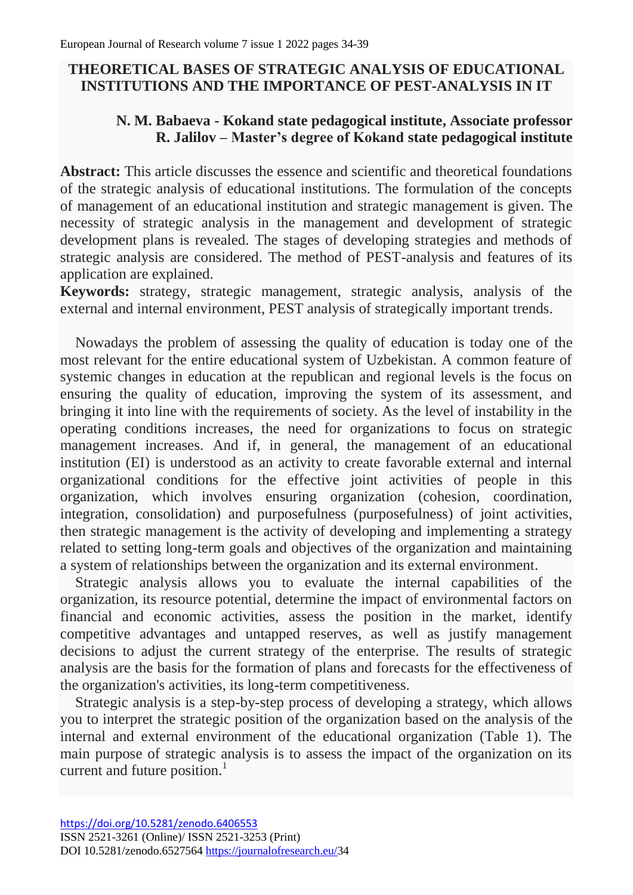# **THEORETICAL BASES OF STRATEGIC ANALYSIS OF EDUCATIONAL INSTITUTIONS AND THE IMPORTANCE OF PEST-ANALYSIS IN IT**

## **N. M. Babaeva - Kokand state pedagogical institute, Associate professor R. Jalilov – Master's degree of Kokand state pedagogical institute**

Abstract: This article discusses the essence and scientific and theoretical foundations of the strategic analysis of educational institutions. The formulation of the concepts of management of an educational institution and strategic management is given. The necessity of strategic analysis in the management and development of strategic development plans is revealed. The stages of developing strategies and methods of strategic analysis are considered. The method of PEST-analysis and features of its application are explained.

**Keywords:** strategy, strategic management, strategic analysis, analysis of the external and internal environment, PEST analysis of strategically important trends.

Nowadays the problem of assessing the quality of education is today one of the most relevant for the entire educational system of Uzbekistan. A common feature of systemic changes in education at the republican and regional levels is the focus on ensuring the quality of education, improving the system of its assessment, and bringing it into line with the requirements of society. As the level of instability in the operating conditions increases, the need for organizations to focus on strategic management increases. And if, in general, the management of an educational institution (EI) is understood as an activity to create favorable external and internal organizational conditions for the effective joint activities of people in this organization, which involves ensuring organization (cohesion, coordination, integration, consolidation) and purposefulness (purposefulness) of joint activities, then strategic management is the activity of developing and implementing a strategy related to setting long-term goals and objectives of the organization and maintaining a system of relationships between the organization and its external environment.

Strategic analysis allows you to evaluate the internal capabilities of the organization, its resource potential, determine the impact of environmental factors on financial and economic activities, assess the position in the market, identify competitive advantages and untapped reserves, as well as justify management decisions to adjust the current strategy of the enterprise. The results of strategic analysis are the basis for the formation of plans and forecasts for the effectiveness of the organization's activities, its long-term competitiveness.

Strategic analysis is a step-by-step process of developing a strategy, which allows you to interpret the strategic position of the organization based on the analysis of the internal and external environment of the educational organization (Table 1). The main purpose of strategic analysis is to assess the impact of the organization on its current and future position.<sup>1</sup>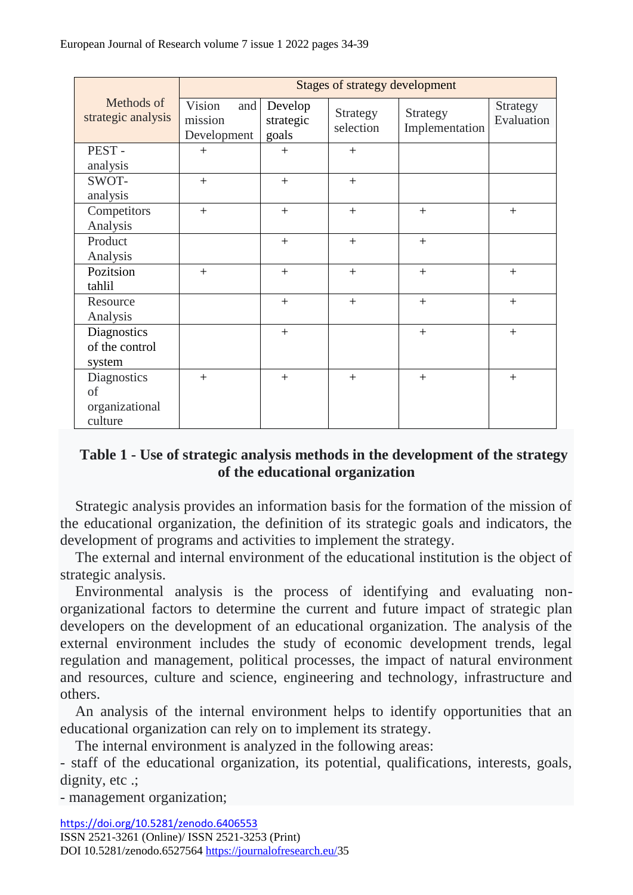|                                  | <b>Stages of strategy development</b>   |                               |                       |                            |                        |
|----------------------------------|-----------------------------------------|-------------------------------|-----------------------|----------------------------|------------------------|
| Methods of<br>strategic analysis | Vision<br>and<br>mission<br>Development | Develop<br>strategic<br>goals | Strategy<br>selection | Strategy<br>Implementation | Strategy<br>Evaluation |
| PEST-                            | $^{+}$                                  | $+$                           | $+$                   |                            |                        |
| analysis                         |                                         |                               |                       |                            |                        |
| SWOT-                            | $+$                                     | $+$                           | $+$                   |                            |                        |
| analysis                         |                                         |                               |                       |                            |                        |
| Competitors                      | $+$                                     | $+$                           | $+$                   | $+$                        | $^{+}$                 |
| Analysis                         |                                         |                               |                       |                            |                        |
| Product                          |                                         | $+$                           | $+$                   | $+$                        |                        |
| Analysis                         |                                         |                               |                       |                            |                        |
| Pozitsion                        | $+$                                     | $+$                           | $+$                   | $+$                        | $+$                    |
| tahlil                           |                                         |                               |                       |                            |                        |
| Resource                         |                                         | $+$                           | $+$                   | $+$                        | $+$                    |
| Analysis                         |                                         |                               |                       |                            |                        |
| Diagnostics                      |                                         | $+$                           |                       | $+$                        | $+$                    |
| of the control                   |                                         |                               |                       |                            |                        |
| system                           |                                         |                               |                       |                            |                        |
| <b>Diagnostics</b>               | $+$                                     | $+$                           | $+$                   | $+$                        | $+$                    |
| of                               |                                         |                               |                       |                            |                        |
| organizational                   |                                         |                               |                       |                            |                        |
| culture                          |                                         |                               |                       |                            |                        |

#### **Table 1 - Use of strategic analysis methods in the development of the strategy of the educational organization**

Strategic analysis provides an information basis for the formation of the mission of the educational organization, the definition of its strategic goals and indicators, the development of programs and activities to implement the strategy.

The external and internal environment of the educational institution is the object of strategic analysis.

Environmental analysis is the process of identifying and evaluating nonorganizational factors to determine the current and future impact of strategic plan developers on the development of an educational organization. The analysis of the external environment includes the study of economic development trends, legal regulation and management, political processes, the impact of natural environment and resources, culture and science, engineering and technology, infrastructure and others.

An analysis of the internal environment helps to identify opportunities that an educational organization can rely on to implement its strategy.

The internal environment is analyzed in the following areas:

- staff of the educational organization, its potential, qualifications, interests, goals, dignity, etc .;

- management organization;

<https://doi.org/10.5281/zenodo.6406553>

ISSN 2521-3261 (Online)/ ISSN 2521-3253 (Print)

DOI 10.5281/zenodo.6527564 [https://journalofresearch.eu/3](https://journalofresearch.eu/)5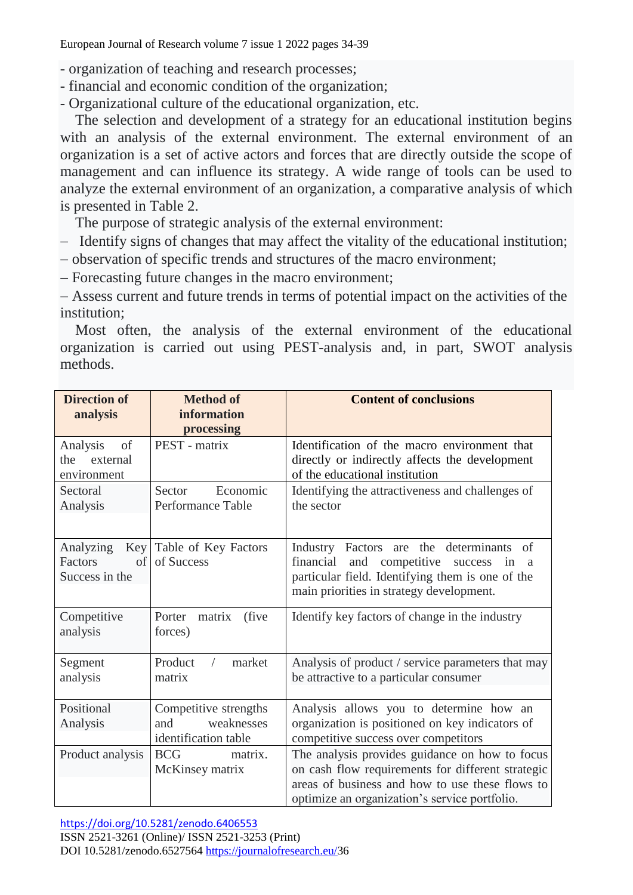European Journal of Research volume 7 issue 1 2022 pages 34-39

- organization of teaching and research processes;
- financial and economic condition of the organization;
- Organizational culture of the educational organization, etc.

The selection and development of a strategy for an educational institution begins with an analysis of the external environment. The external environment of an organization is a set of active actors and forces that are directly outside the scope of management and can influence its strategy. A wide range of tools can be used to analyze the external environment of an organization, a comparative analysis of which is presented in Table 2.

The purpose of strategic analysis of the external environment:

- Identify signs of changes that may affect the vitality of the educational institution;
- observation of specific trends and structures of the macro environment;
- Forecasting future changes in the macro environment;

 Assess current and future trends in terms of potential impact on the activities of the institution;

Most often, the analysis of the external environment of the educational organization is carried out using PEST-analysis and, in part, SWOT analysis methods.

| <b>Direction of</b><br>analysis                  | <b>Method of</b><br>information<br>processing                      | <b>Content of conclusions</b>                                                                                                                                                                           |
|--------------------------------------------------|--------------------------------------------------------------------|---------------------------------------------------------------------------------------------------------------------------------------------------------------------------------------------------------|
| Analysis<br>of<br>the<br>external<br>environment | PEST - matrix                                                      | Identification of the macro environment that<br>directly or indirectly affects the development<br>of the educational institution                                                                        |
| Sectoral<br>Analysis                             | Economic<br>Sector<br>Performance Table                            | Identifying the attractiveness and challenges of<br>the sector                                                                                                                                          |
| Analyzing<br>Factors<br>Success in the           | Key Table of Key Factors<br>of of Success                          | Industry Factors are the determinants<br>of<br>financial<br>and<br>competitive<br>success<br>in<br>a<br>particular field. Identifying them is one of the<br>main priorities in strategy development.    |
| Competitive<br>analysis                          | (five)<br>Porter<br>matrix<br>forces)                              | Identify key factors of change in the industry                                                                                                                                                          |
| Segment<br>analysis                              | market<br>Product<br>$\sqrt{2}$<br>matrix                          | Analysis of product / service parameters that may<br>be attractive to a particular consumer                                                                                                             |
| Positional<br>Analysis                           | Competitive strengths<br>weaknesses<br>and<br>identification table | Analysis allows you to determine how an<br>organization is positioned on key indicators of<br>competitive success over competitors                                                                      |
| Product analysis                                 | matrix.<br><b>BCG</b><br>McKinsey matrix                           | The analysis provides guidance on how to focus<br>on cash flow requirements for different strategic<br>areas of business and how to use these flows to<br>optimize an organization's service portfolio. |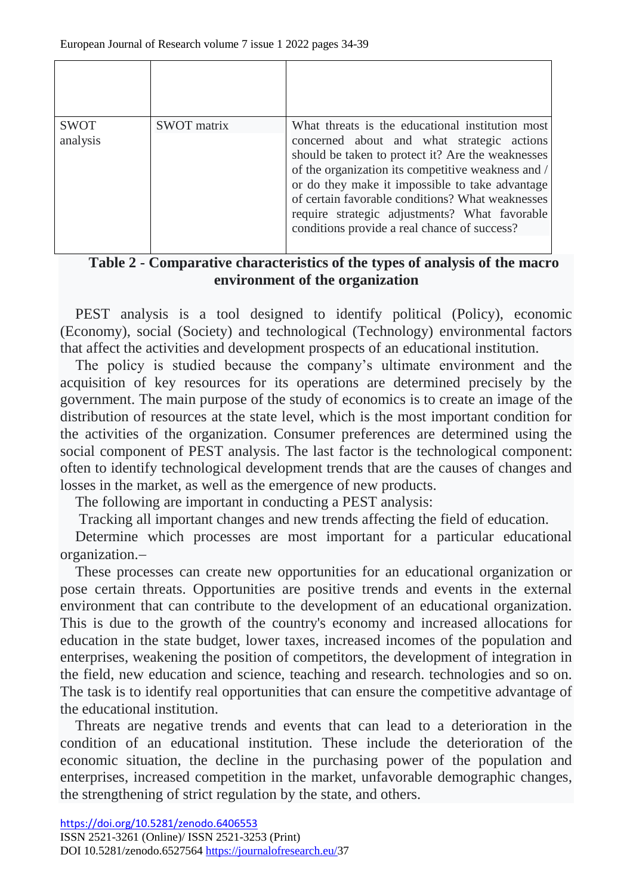| <b>SWOT</b><br>analysis | <b>SWOT</b> matrix | What threats is the educational institution most<br>concerned about and what strategic actions<br>should be taken to protect it? Are the weaknesses<br>of the organization its competitive weakness and /<br>or do they make it impossible to take advantage<br>of certain favorable conditions? What weaknesses<br>require strategic adjustments? What favorable<br>conditions provide a real chance of success? |
|-------------------------|--------------------|-------------------------------------------------------------------------------------------------------------------------------------------------------------------------------------------------------------------------------------------------------------------------------------------------------------------------------------------------------------------------------------------------------------------|

### **Table 2 - Comparative characteristics of the types of analysis of the macro environment of the organization**

PEST analysis is a tool designed to identify political (Policy), economic (Economy), social (Society) and technological (Technology) environmental factors that affect the activities and development prospects of an educational institution.

The policy is studied because the company's ultimate environment and the acquisition of key resources for its operations are determined precisely by the government. The main purpose of the study of economics is to create an image of the distribution of resources at the state level, which is the most important condition for the activities of the organization. Consumer preferences are determined using the social component of PEST analysis. The last factor is the technological component: often to identify technological development trends that are the causes of changes and losses in the market, as well as the emergence of new products.

The following are important in conducting a PEST analysis:

Tracking all important changes and new trends affecting the field of education.

Determine which processes are most important for a particular educational organization.

These processes can create new opportunities for an educational organization or pose certain threats. Opportunities are positive trends and events in the external environment that can contribute to the development of an educational organization. This is due to the growth of the country's economy and increased allocations for education in the state budget, lower taxes, increased incomes of the population and enterprises, weakening the position of competitors, the development of integration in the field, new education and science, teaching and research. technologies and so on. The task is to identify real opportunities that can ensure the competitive advantage of the educational institution.

Threats are negative trends and events that can lead to a deterioration in the condition of an educational institution. These include the deterioration of the economic situation, the decline in the purchasing power of the population and enterprises, increased competition in the market, unfavorable demographic changes, the strengthening of strict regulation by the state, and others.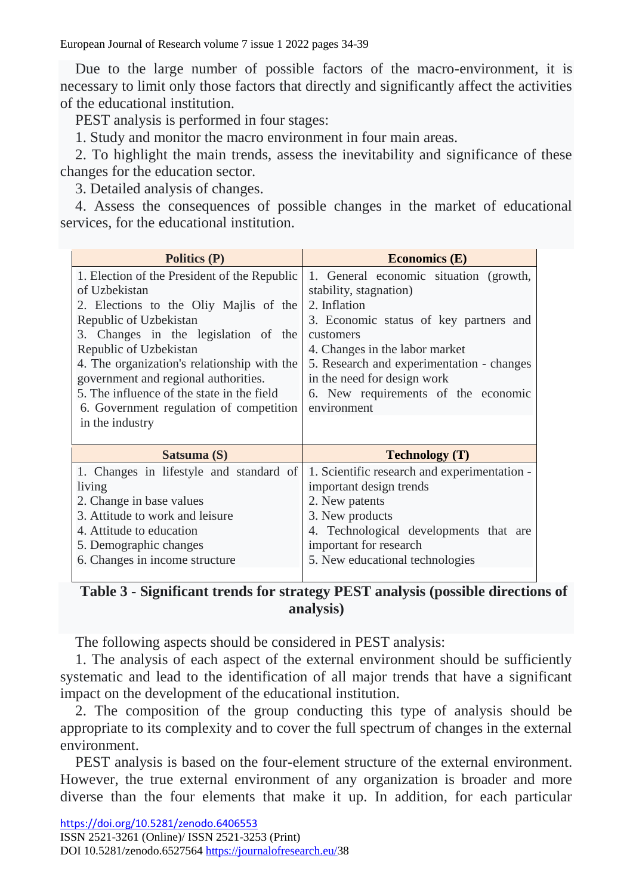European Journal of Research volume 7 issue 1 2022 pages 34-39

Due to the large number of possible factors of the macro-environment, it is necessary to limit only those factors that directly and significantly affect the activities of the educational institution.

PEST analysis is performed in four stages:

1. Study and monitor the macro environment in four main areas.

2. To highlight the main trends, assess the inevitability and significance of these changes for the education sector.

3. Detailed analysis of changes.

4. Assess the consequences of possible changes in the market of educational services, for the educational institution.

| <b>Politics (P)</b>                          | <b>Economics</b> (E)                         |  |
|----------------------------------------------|----------------------------------------------|--|
| 1. Election of the President of the Republic | 1. General economic situation (growth,       |  |
| of Uzbekistan                                | stability, stagnation)                       |  |
| 2. Elections to the Oliy Majlis of the       | 2. Inflation                                 |  |
| Republic of Uzbekistan                       | 3. Economic status of key partners and       |  |
| 3. Changes in the legislation of the         | customers                                    |  |
| Republic of Uzbekistan                       | 4. Changes in the labor market               |  |
| 4. The organization's relationship with the  | 5. Research and experimentation - changes    |  |
| government and regional authorities.         | in the need for design work                  |  |
| 5. The influence of the state in the field   | 6. New requirements of the economic          |  |
| 6. Government regulation of competition      | environment                                  |  |
| in the industry                              |                                              |  |
| Satsuma (S)                                  | <b>Technology</b> (T)                        |  |
| 1. Changes in lifestyle and standard of      | 1. Scientific research and experimentation - |  |
|                                              |                                              |  |
| living                                       | important design trends                      |  |
| 2. Change in base values                     | 2. New patents                               |  |
| 3. Attitude to work and leisure              | 3. New products                              |  |
| 4. Attitude to education                     | 4. Technological developments that are       |  |
| 5. Demographic changes                       | important for research                       |  |
| 6. Changes in income structure               | 5. New educational technologies              |  |

## **Table 3 - Significant trends for strategy PEST analysis (possible directions of analysis)**

The following aspects should be considered in PEST analysis:

1. The analysis of each aspect of the external environment should be sufficiently systematic and lead to the identification of all major trends that have a significant impact on the development of the educational institution.

2. The composition of the group conducting this type of analysis should be appropriate to its complexity and to cover the full spectrum of changes in the external environment.

PEST analysis is based on the four-element structure of the external environment. However, the true external environment of any organization is broader and more diverse than the four elements that make it up. In addition, for each particular